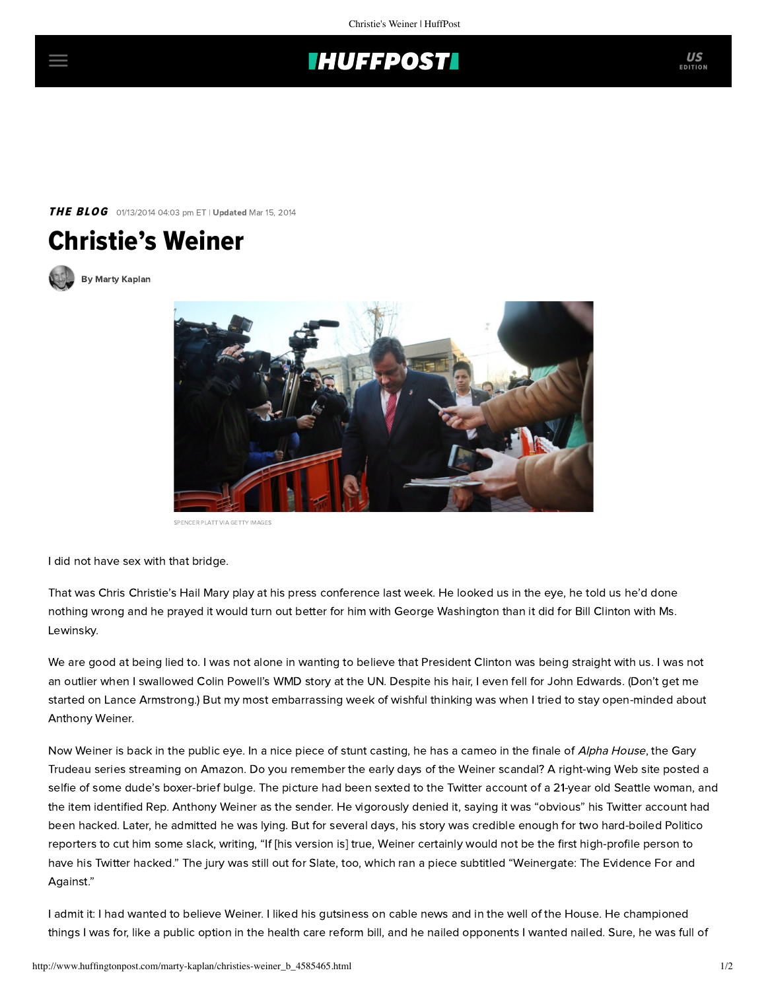Christie's Weiner | HuffPost

## **THUFFPOST**

## **THE BLOG** 01/13/2014 04:03 pm ET | Updated Mar 15, 2014





SPENCER PLATT VIA GETTY IMAGES

I did not have sex with that bridge.

That was Chris Christie's Hail Mary play at his press conference last week. He looked us in the eye, he told us he'd done nothing wrong and he prayed it would turn out better for him with George Washington than it did for Bill Clinton with Ms. Lewinsky.

We are good at being lied to. I was not alone in wanting to believe that President Clinton was being straight with us. I was not an outlier when I swallowed Colin Powell's WMD story at the UN. Despite his hair, [I even fell for](http://www.jewishjournal.com/opinion/article/on_having_your_political_heart_broken_the_edwards_scandal_20080730/) John Edwards. (Don't get me started on Lance Armstrong.) But my most embarrassing week of wishful thinking was when I tried to stay open-minded about Anthony Weiner.

Now Weiner is back in the public eye. In a nice piece of stunt casting, he has a cameo in the finale of Alpha House, the Gary Trudeau series streaming on Amazon. Do you remember the early days of the Weiner scandal? A right-wing Web site posted a selfie of some dude's boxer-brief bulge. The picture had been sexted to the Twitter account of a 21-year old Seattle woman, and the item identified Rep. Anthony Weiner as the sender. He vigorously denied it, saying it was "obvious" his Twitter account had been hacked. Later, he [admitted](http://www.cnn.com/2011/POLITICS/06/06/new.york.weiner/) he was lying. But for several days, his story was credible enough for two hard-boiled Politico reporters to cut him some slack, [writing,](http://www.politico.com/news/stories/0511/55877.html) "If [his version is] true, Weiner certainly would not be the first high-profile person to have his Twitter hacked." The jury was still out for Slate, too, which ran a [piece](http://www.slate.com/articles/news_and_politics/crime/2011/06/tricky_dick.html) subtitled "Weinergate: The Evidence For and Against."

I admit it: I had wanted to believe Weiner. I liked his gutsiness on cable news and in the well of the House. He championed things I was for, like a public option in the health care reform bill, and he nailed opponents I wanted nailed. Sure, he was full of